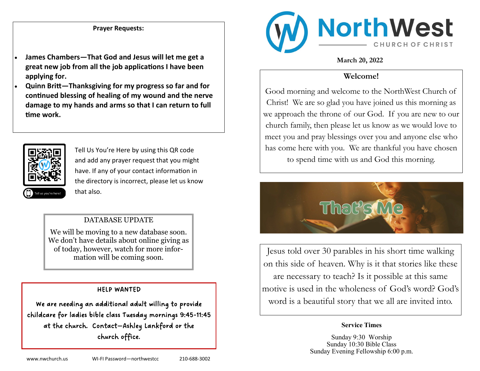## **Prayer Requests:**

- **James Chambers—That God and Jesus will let me get a great new job from all the job applications I have been applying for.**
- **Quinn Britt—Thanksgiving for my progress so far and for continued blessing of healing of my wound and the nerve damage to my hands and arms so that I can return to full time work.**



Tell Us You're Here by using this QR code and add any prayer request that you might have. If any of your contact information in the directory is incorrect, please let us know that also.

## DATABASE UPDATE

We will be moving to a new database soon. We don't have details about online giving as of today, however, watch for more information will be coming soon.

#### HELP WANTED

We are needing an additional adult willing to provide childcare for ladies bible class Tuesday mornings 9:45-11:45 at the church. Contact—Ashley Lankford or the church office.



### **March 20, 2022**

## **Welcome!**

Good morning and welcome to the NorthWest Church of Christ! We are so glad you have joined us this morning as we approach the throne of our God. If you are new to our church family, then please let us know as we would love to meet you and pray blessings over you and anyone else who has come here with you. We are thankful you have chosen to spend time with us and God this morning.



Jesus told over 30 parables in his short time walking on this side of heaven. Why is it that stories like these are necessary to teach? Is it possible at this same motive is used in the wholeness of God's word? God's word is a beautiful story that we all are invited into.

#### **Service Times**

Sunday 9:30 Worship Sunday 10:30 Bible Class Sunday Evening Fellowship 6:00 p.m.